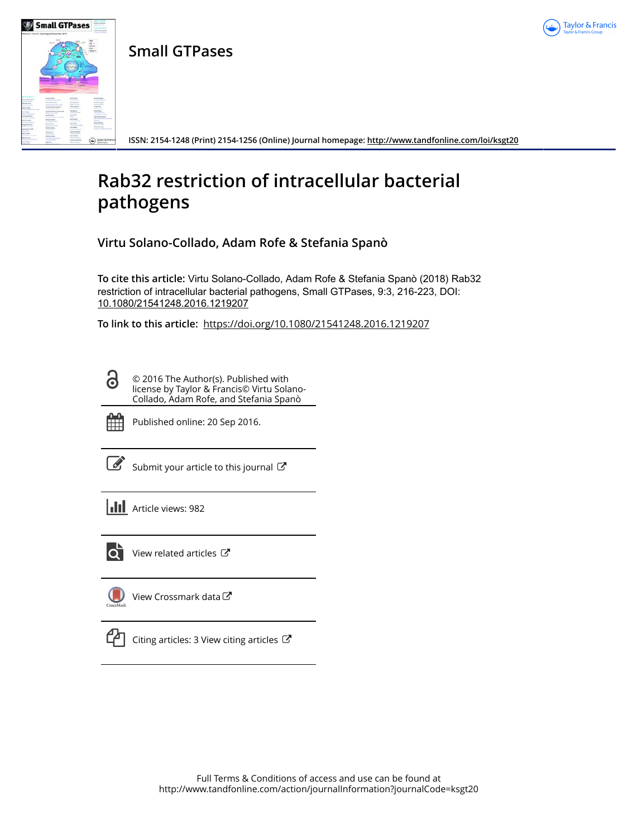

**Small GTPases**



**ISSN: 2154-1248 (Print) 2154-1256 (Online) Journal homepage:<http://www.tandfonline.com/loi/ksgt20>**

# **Rab32 restriction of intracellular bacterial pathogens**

**Virtu Solano-Collado, Adam Rofe & Stefania Spanò**

**To cite this article:** Virtu Solano-Collado, Adam Rofe & Stefania Spanò (2018) Rab32 restriction of intracellular bacterial pathogens, Small GTPases, 9:3, 216-223, DOI: [10.1080/21541248.2016.1219207](http://www.tandfonline.com/action/showCitFormats?doi=10.1080/21541248.2016.1219207)

**To link to this article:** <https://doi.org/10.1080/21541248.2016.1219207>

© 2016 The Author(s). Published with license by Taylor & Francis© Virtu Solano-Collado, Adam Rofe, and Stefania Spanò



႕

Published online: 20 Sep 2016.

[Submit your article to this journal](http://www.tandfonline.com/action/authorSubmission?journalCode=ksgt20&show=instructions)  $\mathbb{Z}$ 

**III** Article views: 982



[View related articles](http://www.tandfonline.com/doi/mlt/10.1080/21541248.2016.1219207)  $\mathbb{Z}$ 



[View Crossmark data](http://crossmark.crossref.org/dialog/?doi=10.1080/21541248.2016.1219207&domain=pdf&date_stamp=2016-09-20)



[Citing articles: 3 View citing articles](http://www.tandfonline.com/doi/citedby/10.1080/21541248.2016.1219207#tabModule)  $\mathbb{Z}$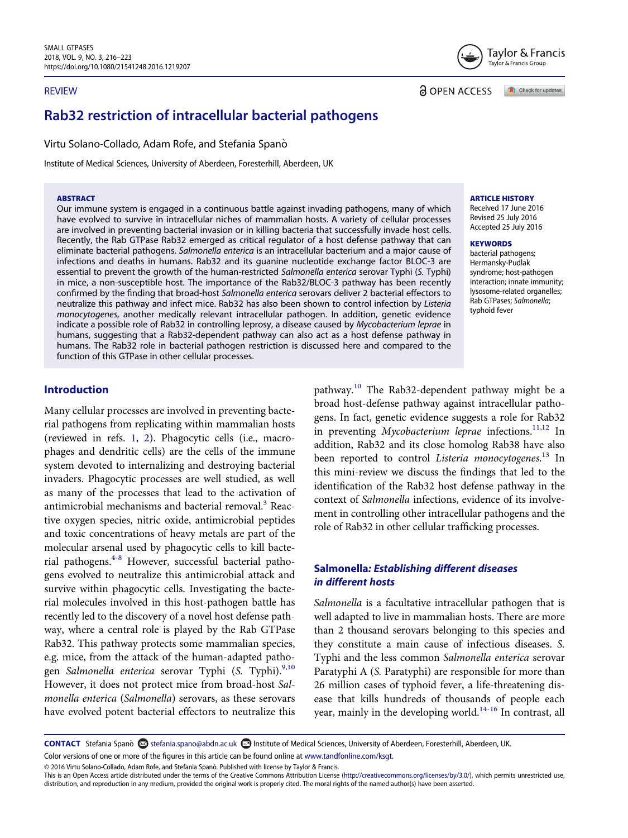#### REVIEW



**a** OPEN ACCESS

Check for updates

# Rab32 restriction of intracellular bacterial pathogens

Virtu Solano-Collado, Adam Rofe, and Stefania Spanò

Institute of Medical Sciences, University of Aberdeen, Foresterhill, Aberdeen, UK

#### ABSTRACT

Our immune system is engaged in a continuous battle against invading pathogens, many of which have evolved to survive in intracellular niches of mammalian hosts. A variety of cellular processes are involved in preventing bacterial invasion or in killing bacteria that successfully invade host cells. Recently, the Rab GTPase Rab32 emerged as critical regulator of a host defense pathway that can eliminate bacterial pathogens. Salmonella enterica is an intracellular bacterium and a major cause of infections and deaths in humans. Rab32 and its guanine nucleotide exchange factor BLOC-3 are essential to prevent the growth of the human-restricted Salmonella enterica serovar Typhi (S. Typhi) in mice, a non-susceptible host. The importance of the Rab32/BLOC-3 pathway has been recently confirmed by the finding that broad-host Salmonella enterica serovars deliver 2 bacterial effectors to neutralize this pathway and infect mice. Rab32 has also been shown to control infection by Listeria monocytogenes, another medically relevant intracellular pathogen. In addition, genetic evidence indicate a possible role of Rab32 in controlling leprosy, a disease caused by Mycobacterium leprae in humans, suggesting that a Rab32-dependent pathway can also act as a host defense pathway in humans. The Rab32 role in bacterial pathogen restriction is discussed here and compared to the function of this GTPase in other cellular processes.

#### ARTICLE HISTORY

Received 17 June 2016 Revised 25 July 2016 Accepted 25 July 2016

#### **KEYWORDS**

bacterial pathogens; Hermansky-Pudlak syndrome; host-pathogen interaction; innate immunity; lysosome-related organelles; Rab GTPases; Salmonella; typhoid fever

### Introduction

Many cellular processes are involved in preventing bacterial pathogens from replicating within mammalian hosts (reviewed in refs. [1, 2](#page-6-0)). Phagocytic cells (i.e., macrophages and dendritic cells) are the cells of the immune system devoted to internalizing and destroying bacterial invaders. Phagocytic processes are well studied, as well as many of the processes that lead to the activation of antimicrobial mechanisms and bacterial removal.<sup>[3](#page-6-1)</sup> Reactive oxygen species, nitric oxide, antimicrobial peptides and toxic concentrations of heavy metals are part of the molecular arsenal used by phagocytic cells to kill bacterial pathogens.<sup>4-8</sup> However, successful bacterial pathogens evolved to neutralize this antimicrobial attack and survive within phagocytic cells. Investigating the bacterial molecules involved in this host-pathogen battle has recently led to the discovery of a novel host defense pathway, where a central role is played by the Rab GTPase Rab32. This pathway protects some mammalian species, e.g. mice, from the attack of the human-adapted pathogen Salmonella enterica serovar Typhi (S. Typhi).<sup>9,10</sup> However, it does not protect mice from broad-host Salmonella enterica (Salmonella) serovars, as these serovars have evolved potent bacterial effectors to neutralize this

pathway.[10](#page-7-0) The Rab32-dependent pathway might be a broad host-defense pathway against intracellular pathogens. In fact, genetic evidence suggests a role for Rab32 in preventing Mycobacterium leprae infections.<sup>11,12</sup> In addition, Rab32 and its close homolog Rab38 have also been reported to control *Listeria monocytogenes*.<sup>[13](#page-7-2)</sup> In this mini-review we discuss the findings that led to the identification of the Rab32 host defense pathway in the context of Salmonella infections, evidence of its involvement in controlling other intracellular pathogens and the role of Rab32 in other cellular trafficking processes.

#### Salmonella: Establishing different diseases in different hosts

Salmonella is a facultative intracellular pathogen that is well adapted to live in mammalian hosts. There are more than 2 thousand serovars belonging to this species and they constitute a main cause of infectious diseases. S. Typhi and the less common Salmonella enterica serovar Paratyphi A (S. Paratyphi) are responsible for more than 26 million cases of typhoid fever, a life-threatening disease that kills hundreds of thousands of people each year, mainly in the developing world.[14-16](#page-7-3) In contrast, all

CONTACT Stefania Spano & stefania.spano@abdn.ac.uk **Institute of Medical Sciences, University of Aberdeen, Foresterhill, Aberdeen, UK.** 

Color versions of one or more of the figures in this article can be found online at [www.tandfonline.com/ksgt.](http://www.tandfonline.com/ksgt)

© 2016 Virtu Solano-Collado, Adam Rofe, and Stefania Spano. Published with license by Taylor & Francis.

This is an Open Access article distributed under the terms of the Creative Commons Attribution License [\(http://creativecommons.org/licenses/by/3.0/](http://creativecommons.org/licenses/by/3.0/)), which permits unrestricted use, distribution, and reproduction in any medium, provided the original work is properly cited. The moral rights of the named author(s) have been asserted.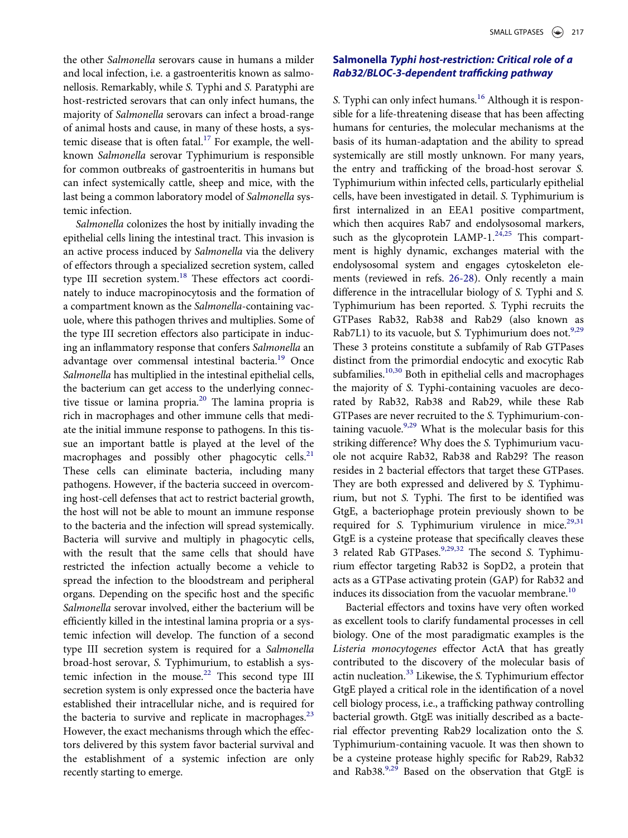the other Salmonella serovars cause in humans a milder and local infection, i.e. a gastroenteritis known as salmonellosis. Remarkably, while S. Typhi and S. Paratyphi are host-restricted serovars that can only infect humans, the majority of Salmonella serovars can infect a broad-range of animal hosts and cause, in many of these hosts, a systemic disease that is often fatal.<sup>17</sup> For example, the wellknown Salmonella serovar Typhimurium is responsible for common outbreaks of gastroenteritis in humans but can infect systemically cattle, sheep and mice, with the last being a common laboratory model of Salmonella systemic infection.

Salmonella colonizes the host by initially invading the epithelial cells lining the intestinal tract. This invasion is an active process induced by Salmonella via the delivery of effectors through a specialized secretion system, called type III secretion system.<sup>[18](#page-7-5)</sup> These effectors act coordinately to induce macropinocytosis and the formation of a compartment known as the Salmonella-containing vacuole, where this pathogen thrives and multiplies. Some of the type III secretion effectors also participate in inducing an inflammatory response that confers Salm[one](#page-7-6)lla an advantage over commensal intestinal bacteria.<sup>19</sup> Once Salmonella has multiplied in the intestinal epithelial cells, the bacterium can get access to the underlying connective tissue or lamina propria[.20](#page-7-7) The lamina propria is rich in macrophages and other immune cells that mediate the initial immune response to pathogens. In this tissue an important battle is played at the level of the macrophages and possibly other phagocytic cells.<sup>[21](#page-7-8)</sup> These cells can eliminate bacteria, including many pathogens. However, if the bacteria succeed in overcoming host-cell defenses that act to restrict bacterial growth, the host will not be able to mount an immune response to the bacteria and the infection will spread systemically. Bacteria will survive and multiply in phagocytic cells, with the result that the same cells that should have restricted the infection actually become a vehicle to spread the infection to the bloodstream and peripheral organs. Depending on the specific host and the specific Salmonella serovar involved, either the bacterium will be efficiently killed in the intestinal lamina propria or a systemic infection will develop. The function of a second type III secretion system is required for a Salmonella broad-host serovar, S. Typhimurium, to establish a systemic infection in the mouse.<sup>22</sup> This second type III secretion system is only expressed once the bacteria have established their intracellular niche, and is required for the bacteria to survive and replicate in macrophages.<sup>[23](#page-7-10)</sup> However, the exact mechanisms through which the effectors delivered by this system favor bacterial survival and the establishment of a systemic infection are only recently starting to emerge.

# Salmonella Typhi host-restriction: Critical role of a Rab32/BLOC-3-dependent trafficking pathway

S. Typhi can only infect humans.<sup>[16](#page-7-11)</sup> Although it is responsible for a life-threatening disease that has been affecting humans for centuries, the molecular mechanisms at the basis of its human-adaptation and the ability to spread systemically are still mostly unknown. For many years, the entry and trafficking of the broad-host serovar S. Typhimurium within infected cells, particularly epithelial cells, have been investigated in detail. S. Typhimurium is first internalized in an EEA1 positive compartment, which then acquires Rab7 and endolysosomal markers, such as the glycoprotein LAMP-1.<sup>[24,25](#page-7-12)</sup> This compartment is highly dynamic, exchanges material with the endolysosomal system and engages cytoskeleton elements (reviewed in refs. [26-28](#page-7-13)). Only recently a main difference in the intracellular biology of S. Typhi and S. Typhimurium has been reported. S. Typhi recruits the GTPases Rab32, Rab38 and Rab29 (also known as Rab7L1) to its vacuole, but S. Typhimurium does not.<sup>[9,29](#page-6-3)</sup> These 3 proteins constitute a subfamily of Rab GTPases distinct from the primordial endocytic and exocytic Rab subfamilies. $10,30$  Both in epithelial cells and macrophages the majority of S. Typhi-containing vacuoles are decorated by Rab32, Rab38 and Rab29, while these Rab GTPases are never recruited to the S. Typhimurium-containing vacuole. $9,29$  What is the molecular basis for this striking difference? Why does the S. Typhimurium vacuole not acquire Rab32, Rab38 and Rab29? The reason resides in 2 bacterial effectors that target these GTPases. They are both expressed and delivered by S. Typhimurium, but not S. Typhi. The first to be identified was GtgE, a bacteriophage protein previously shown to be required for S. Typhimurium virulence in mice. $29,31$ GtgE is a cysteine protease that specifically cleaves these 3 related Rab GTPases.<sup>[9,29,32](#page-6-3)</sup> The second S. Typhimurium effector targeting Rab32 is SopD2, a protein that acts as a GTPase activating protein (GAP) for Rab32 and induces its dissociation from the vacuolar membrane.<sup>10</sup>

Bacterial effectors and toxins have very often worked as excellent tools to clarify fundamental processes in cell biology. One of the most paradigmatic examples is the Listeria monocytogenes effector ActA that has greatly contributed to the discovery of the molecular basis of actin nucleation.<sup>[33](#page-7-15)</sup> Likewise, the S. Typhimurium effector GtgE played a critical role in the identification of a novel cell biology process, i.e., a trafficking pathway controlling bacterial growth. GtgE was initially described as a bacterial effector preventing Rab29 localization onto the S. Typhimurium-containing vacuole. It was then shown to be a cysteine protease highly specific for Rab29, Rab32 and Rab38. $9,29$  Based on the observation that GtgE is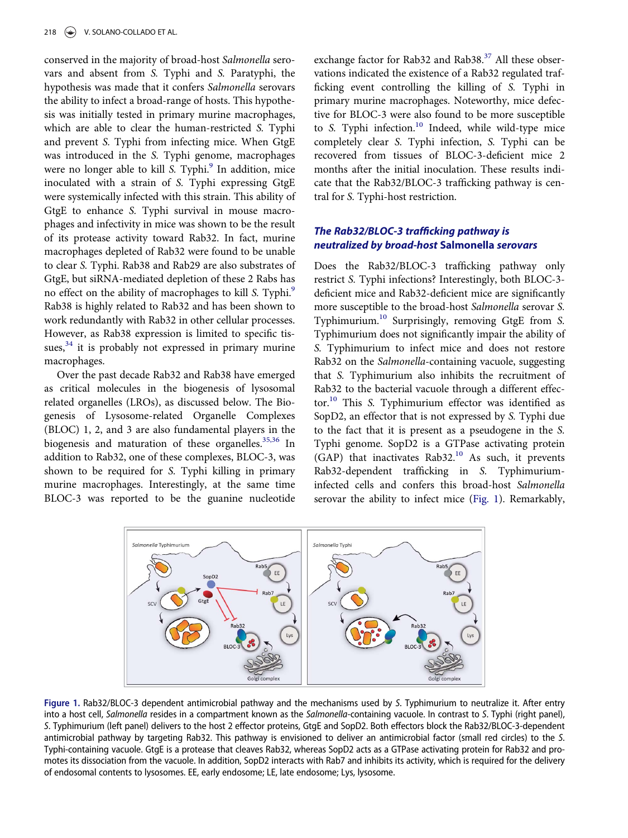conserved in the majority of broad-host Salmonella serovars and absent from S. Typhi and S. Paratyphi, the hypothesis was made that it confers Salmonella serovars the ability to infect a broad-range of hosts. This hypothesis was initially tested in primary murine macrophages, which are able to clear the human-restricted S. Typhi and prevent S. Typhi from infecting mice. When GtgE was introduced in the S. Typhi genome, macrophages were no longer able to kill S. Typhi.<sup>[9](#page-6-3)</sup> In addition, mice inoculated with a strain of S. Typhi expressing GtgE were systemically infected with this strain. This ability of GtgE to enhance S. Typhi survival in mouse macrophages and infectivity in mice was shown to be the result of its protease activity toward Rab32. In fact, murine macrophages depleted of Rab32 were found to be unable to clear S. Typhi. Rab38 and Rab29 are also substrates of GtgE, but siRNA-mediated depletion of these 2 Rabs has no effect on the ability of macrophages to kill S. Typhi.<sup>[9](#page-6-3)</sup> Rab38 is highly related to Rab32 and has been shown to work redundantly with Rab32 in other cellular processes. However, as Rab38 expression is limited to specific tis-sues,<sup>[34](#page-7-16)</sup> it is probably not expressed in primary murine macrophages.

Over the past decade Rab32 and Rab38 have emerged as critical molecules in the biogenesis of lysosomal related organelles (LROs), as discussed below. The Biogenesis of Lysosome-related Organelle Complexes (BLOC) 1, 2, and 3 are also fundamental players in the biogenesis and maturation of these organelles.<sup>35,36</sup> In addition to Rab32, one of these complexes, BLOC-3, was shown to be required for S. Typhi killing in primary murine macrophages. Interestingly, at the same time BLOC-3 was reported to be the guanine nucleotide

exchange factor for Rab32 and Rab38.<sup>[37](#page-7-18)</sup> All these observations indicated the existence of a Rab32 regulated trafficking event controlling the killing of S. Typhi in primary murine macrophages. Noteworthy, mice defective for BLOC-3 were also found to be more susceptible to S. Typhi infection.<sup>[10](#page-7-0)</sup> Indeed, while wild-type mice completely clear S. Typhi infection, S. Typhi can be recovered from tissues of BLOC-3-deficient mice 2 months after the initial inoculation. These results indicate that the Rab32/BLOC-3 trafficking pathway is central for S. Typhi-host restriction.

# The Rab32/BLOC-3 trafficking pathway is neutralized by broad-host Salmonella serovars

Does the Rab32/BLOC-3 trafficking pathway only restrict S. Typhi infections? Interestingly, both BLOC-3 deficient mice and Rab32-deficient mice are significantly more susceptible to the broad-host Salmonella serovar S. Typhimurium.[10](#page-7-0) Surprisingly, removing GtgE from S. Typhimurium does not significantly impair the ability of S. Typhimurium to infect mice and does not restore Rab32 on the Salmonella-containing vacuole, suggesting that S. Typhimurium also inhibits the recruitment of Rab32 to the bacterial vacuole through a different effector.<sup>10</sup> This S. Typhimurium effector was identified as SopD2, an effector that is not expressed by S. Typhi due to the fact that it is present as a pseudogene in the S. Typhi genome. SopD2 is a GTPase activating protein (GAP) that inactivates Rab32.[10](#page-7-0) As such, it prevents Rab32-dependent trafficking in S. Typhimuriuminfected cells and confers this broad-host Salmonella serovar the ability to infect mice [\(Fig. 1\)](#page-3-0). Remarkably,

<span id="page-3-0"></span>

Figure 1. Rab32/BLOC-3 dependent antimicrobial pathway and the mechanisms used by S. Typhimurium to neutralize it. After entry into a host cell, Salmonella resides in a compartment known as the Salmonella-containing vacuole. In contrast to S. Typhi (right panel), S. Typhimurium (left panel) delivers to the host 2 effector proteins, GtgE and SopD2. Both effectors block the Rab32/BLOC-3-dependent antimicrobial pathway by targeting Rab32. This pathway is envisioned to deliver an antimicrobial factor (small red circles) to the S. Typhi-containing vacuole. GtgE is a protease that cleaves Rab32, whereas SopD2 acts as a GTPase activating protein for Rab32 and promotes its dissociation from the vacuole. In addition, SopD2 interacts with Rab7 and inhibits its activity, which is required for the delivery of endosomal contents to lysosomes. EE, early endosome; LE, late endosome; Lys, lysosome.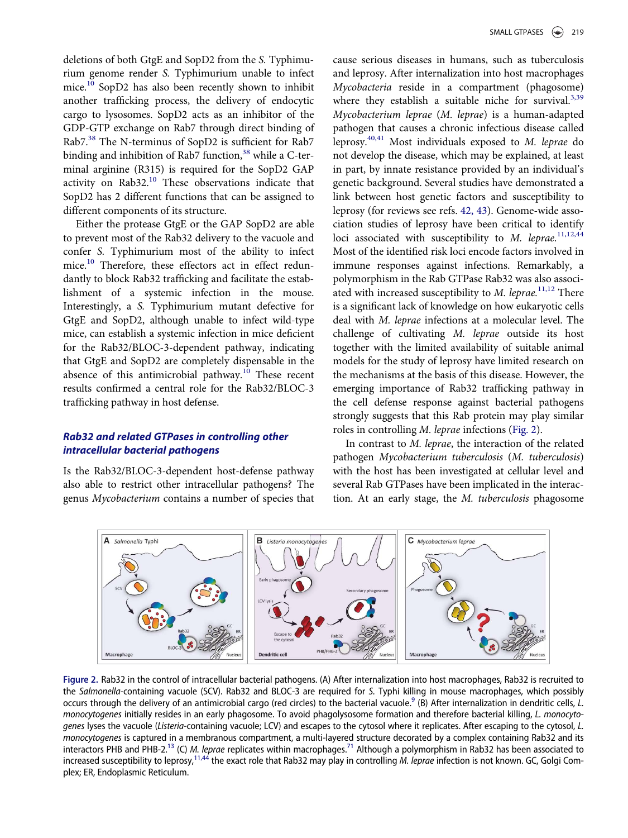deletions of both GtgE and SopD2 from the S. Typhimurium genome render S. Typhimurium unable to infect mice.[10](#page-7-0) SopD2 has also been recently shown to inhibit another trafficking process, the delivery of endocytic cargo to lysosomes. SopD2 acts as an inhibitor of the GDP-GTP exchange on Rab7 through direct binding of Rab7.[38](#page-7-19) The N-terminus of SopD2 is sufficient for Rab7 binding and inhibition of Rab7 function, $38$  while a C-terminal arginine (R315) is required for the SopD2 GAP activity on  $Rab32<sup>10</sup>$  $Rab32<sup>10</sup>$  $Rab32<sup>10</sup>$  These observations indicate that SopD2 has 2 different functions that can be assigned to different components of its structure.

Either the protease GtgE or the GAP SopD2 are able to prevent most of the Rab32 delivery to the vacuole and confer S. Typhimurium most of the ability to infect mice.<sup>[10](#page-7-0)</sup> Therefore, these effectors act in effect redundantly to block Rab32 trafficking and facilitate the establishment of a systemic infection in the mouse. Interestingly, a S. Typhimurium mutant defective for GtgE and SopD2, although unable to infect wild-type mice, can establish a systemic infection in mice deficient for the Rab32/BLOC-3-dependent pathway, indicating that GtgE and SopD2 are completely dispensable in the absence of this antimicrobial pathway.<sup>[10](#page-7-0)</sup> These recent results confirmed a central role for the Rab32/BLOC-3 trafficking pathway in host defense.

### Rab32 and related GTPases in controlling other intracellular bacterial pathogens

Is the Rab32/BLOC-3-dependent host-defense pathway also able to restrict other intracellular pathogens? The genus Mycobacterium contains a number of species that

cause serious diseases in humans, such as tuberculosis and leprosy. After internalization into host macrophages Mycobacteria reside in a compartment (phagosome) where they establish a suitable niche for survival.<sup>3,39</sup> Mycobacterium leprae (M. leprae) is a human-adapted pathogen that causes a chronic infectious disease called leprosy.<sup>[40,41](#page-7-20)</sup> Most individuals exposed to M. leprae do not develop the disease, which may be explained, at least in part, by innate resistance provided by an individual's genetic background. Several studies have demonstrated a link between host genetic factors and susceptibility to leprosy (for reviews see refs. [42, 43\)](#page-7-21). Genome-wide association studies of leprosy have been critical to identify loci associated with susceptibility to  $M$ . leprae.<sup>[11,12,44](#page-7-1)</sup> Most of the identified risk loci encode factors involved in immune responses against infections. Remarkably, a polymorphism in the Rab GTPase Rab32 was also associated with increased susceptibility to  $M$ . leprae.<sup>[11,12](#page-7-1)</sup> There is a significant lack of knowledge on how eukaryotic cells deal with M. leprae infections at a molecular level. The challenge of cultivating M. leprae outside its host together with the limited availability of suitable animal models for the study of leprosy have limited research on the mechanisms at the basis of this disease. However, the emerging importance of Rab32 trafficking pathway in the cell defense response against bacterial pathogens strongly suggests that this Rab protein may play similar roles in controlling M. leprae infections ([Fig. 2](#page-4-0)).

In contrast to M. leprae, the interaction of the related pathogen Mycobacterium tuberculosis (M. tuberculosis) with the host has been investigated at cellular level and several Rab GTPases have been implicated in the interaction. At an early stage, the M. tuberculosis phagosome

<span id="page-4-0"></span>

Figure 2. Rab32 in the control of intracellular bacterial pathogens. (A) After internalization into host macrophages, Rab32 is recruited to the Salmonella-containing vacuole (SCV). Rab32 and BLOC-3 are required for S. Typhi killing in mouse macrophages, which possibly occurs through the delivery of an antimicrobial cargo (red circles) to the bacterial vacuole.<sup>[9](#page-6-3)</sup> (B) After internalization in dendritic cells, L. monocytogenes initially resides in an early phagosome. To avoid phagolysosome formation and therefore bacterial killing, L. monocytogenes lyses the vacuole (Listeria-containing vacuole; LCV) and escapes to the cytosol where it replicates. After escaping to the cytosol, L. monocytogenes is captured in a membranous compartment, a multi-layered structure decorated by a complex containing Rab32 and its interactors PHB and PHB-2.<sup>[13](#page-7-2)</sup> (C) [M. lep](#page-7-1)rae replicates within macrophages.<sup>[71](#page-8-0)</sup> Although a polymorphism in Rab32 has been associated to increased susceptibility to leprosy,<sup>11,44</sup> the exact role that Rab32 may play in controlling M. leprae infection is not known. GC, Golgi Complex; ER, Endoplasmic Reticulum.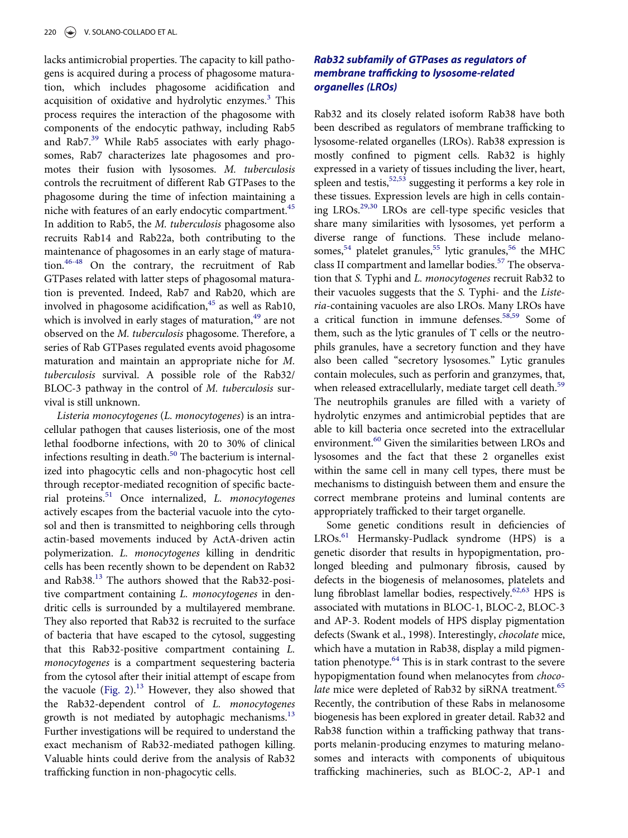lacks antimicrobial properties. The capacity to kill pathogens is acquired during a process of phagosome maturation, which includes phagosome acidification and acquisition of oxidative and hydrolytic enzymes.<sup>[3](#page-6-1)</sup> This process requires the interaction of the phagosome with components of the endocytic pathway, including Rab5 and Rab7.<sup>[39](#page-7-22)</sup> While Rab5 associates with early phagosomes, Rab7 characterizes late phagosomes and promotes their fusion with lysosomes. M. tuberculosis controls the recruitment of different Rab GTPases to the phagosome during the time of infection maintaining a niche with features of an early endocytic compartment.<sup>[45](#page-7-23)</sup> In addition to Rab5, the M. tuberculosis phagosome also recruits Rab14 and Rab22a, both contributing to the maintenance of phagosomes in an early stage of maturation.[46-48](#page-7-24) On the contrary, the recruitment of Rab GTPases related with latter steps of phagosomal maturation is prevented. Indeed, Rab7 and Rab20, which are involved in phagosome acidification, $45$  as well as Rab10, which is involved in early stages of maturation,<sup>[49](#page-7-25)</sup> are not observed on the M. tuberculosis phagosome. Therefore, a series of Rab GTPases regulated events avoid phagosome maturation and maintain an appropriate niche for M. tuberculosis survival. A possible role of the Rab32/ BLOC-3 pathway in the control of M. tuberculosis survival is still unknown.

Listeria monocytogenes (L. monocytogenes) is an intracellular pathogen that causes listeriosis, one of the most lethal foodborne infections, with 20 to 30% of clinical infections resulting in death. $50$  The bacterium is internalized into phagocytic cells and non-phagocytic host cell through receptor-mediated recognition of specific bacterial proteins[.51](#page-7-27) Once internalized, L. monocytogenes actively escapes from the bacterial vacuole into the cytosol and then is transmitted to neighboring cells through actin-based movements induced by ActA-driven actin polymerization. L. monocytogenes killing in dendritic cells has been recently shown to be dependent on Rab32 and Rab38.[13](#page-7-2) The authors showed that the Rab32-positive compartment containing L. monocytogenes in dendritic cells is surrounded by a multilayered membrane. They also reported that Rab32 is recruited to the surface of bacteria that have escaped to the cytosol, suggesting that this Rab32-positive compartment containing L. monocytogenes is a compartment sequestering bacteria from the cytosol after their initial attempt of escape from the vacuole [\(Fig. 2\)](#page-4-0). $^{13}$  $^{13}$  $^{13}$  However, they also showed that the Rab32-dependent control of L. monocytogen[es](#page-7-2) growth is not mediated by autophagic mechanisms. $^{13}$ Further investigations will be required to understand the exact mechanism of Rab32-mediated pathogen killing. Valuable hints could derive from the analysis of Rab32 trafficking function in non-phagocytic cells.

# Rab32 subfamily of GTPases as regulators of membrane trafficking to lysosome-related organelles (LROs)

Rab32 and its closely related isoform Rab38 have both been described as regulators of membrane trafficking to lysosome-related organelles (LROs). Rab38 expression is mostly confined to pigment cells. Rab32 is highly expressed in a variety of tissues including the liver, heart, spleen and testis,  $52,53$  suggesting it performs a key role in these tissues. Expression levels are high in cells containing LROs.[29,30](#page-7-14) LROs are cell-type specific vesicles that share many similarities with lysosomes, yet perform a diverse range of functions. These include melano-somes,<sup>[54](#page-8-2)</sup> platelet granules,<sup>55</sup> lytic granules,<sup>[56](#page-8-4)</sup> the MHC class II compartment and lamellar bodies.<sup>57</sup> The observation that S. Typhi and L. monocytogenes recruit Rab32 to their vacuoles suggests that the S. Typhi- and the Listeria-containing vacuoles are also LROs. Many LROs have a critical function in immune defenses.<sup>[58,59](#page-8-6)</sup> Some of them, such as the lytic granules of T cells or the neutrophils granules, have a secretory function and they have also been called "secretory lysosomes." Lytic granules contain molecules, such as perforin and granzymes, that, when released extracellularly, mediate target cell death.<sup>[59](#page-8-7)</sup> The neutrophils granules are filled with a variety of hydrolytic enzymes and antimicrobial peptides that are able to kill bacteria once secreted into the extracellular environment.<sup>[60](#page-8-8)</sup> Given the similarities between LROs and lysosomes and the fact that these 2 organelles exist within the same cell in many cell types, there must be mechanisms to distinguish between them and ensure the correct membrane proteins and luminal contents are appropriately trafficked to their target organelle.

Some genetic conditions result in deficiencies of LROs.<sup>[61](#page-8-9)</sup> Hermansky-Pudlack syndrome (HPS) is a genetic disorder that results in hypopigmentation, prolonged bleeding and pulmonary fibrosis, caused by defects in the biogenesis of melanosomes, platelets and lung fibroblast lamellar bodies, respectively.<sup>62,63</sup> HPS is associated with mutations in BLOC-1, BLOC-2, BLOC-3 and AP-3. Rodent models of HPS display pigmentation defects (Swank et al., 1998). Interestingly, chocolate mice, which have a mutation in Rab38, display a mild pigmentation phenotype. $64$  This is in stark contrast to the severe hypopigmentation found when melanocytes from choc[o](#page-8-12)late mice were depleted of Rab32 by siRNA treatment.<sup>65</sup> Recently, the contribution of these Rabs in melanosome biogenesis has been explored in greater detail. Rab32 and Rab38 function within a trafficking pathway that transports melanin-producing enzymes to maturing melanosomes and interacts with components of ubiquitous trafficking machineries, such as BLOC-2, AP-1 and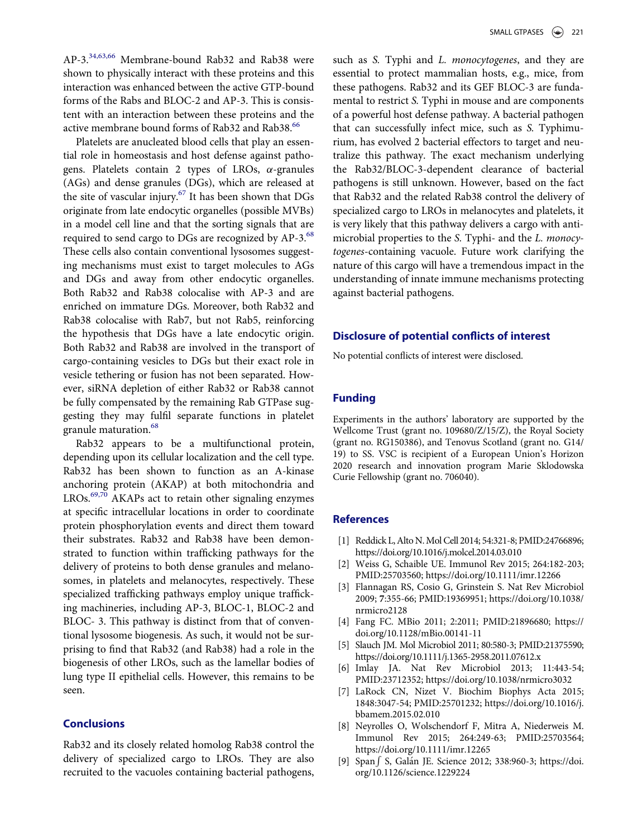AP-3.[34,63,66](#page-7-16) Membrane-bound Rab32 and Rab38 were shown to physically interact with these proteins and this interaction was enhanced between the active GTP-bound forms of the Rabs and BLOC-2 and AP-3. This is consistent with an interaction between these proteins and the active membrane bound forms of Rab32 and Rab38.<sup>66</sup>

Platelets are anucleated blood cells that play an essential role in homeostasis and host defense against pathogens. Platelets contain 2 types of LROs,  $\alpha$ -granules (AGs) and dense granules (DGs), which are released at the site of vascular injury.<sup>[67](#page-8-14)</sup> It has been shown that DGs originate from late endocytic organelles (possible MVBs) in a model cell line and that the sorting signals that are required to send cargo to DGs are recognized by AP-3.<sup>[68](#page-8-15)</sup> These cells also contain conventional lysosomes suggesting mechanisms must exist to target molecules to AGs and DGs and away from other endocytic organelles. Both Rab32 and Rab38 colocalise with AP-3 and are enriched on immature DGs. Moreover, both Rab32 and Rab38 colocalise with Rab7, but not Rab5, reinforcing the hypothesis that DGs have a late endocytic origin. Both Rab32 and Rab38 are involved in the transport of cargo-containing vesicles to DGs but their exact role in vesicle tethering or fusion has not been separated. However, siRNA depletion of either Rab32 or Rab38 cannot be fully compensated by the remaining Rab GTPase suggesting they may fulfil separate functions in platelet granule maturation.<sup>[68](#page-8-15)</sup>

<span id="page-6-0"></span>Rab32 appears to be a multifunctional protein, depending upon its cellular localization and the cell type. Rab32 has been shown to function as an A-kinase anchoring protein (AKAP) at both mitochondria and LROs.<sup>[69,70](#page-8-16)</sup> AKAPs act to retain other signaling enzymes at specific intracellular locations in order to coordinate protein phosphorylation events and direct them toward their substrates. Rab32 and Rab38 have been demonstrated to function within trafficking pathways for the delivery of proteins to both dense granules and melanosomes, in platelets and melanocytes, respectively. These specialized trafficking pathways employ unique trafficking machineries, including AP-3, BLOC-1, BLOC-2 and BLOC- 3. This pathway is distinct from that of conventional lysosome biogenesis. As such, it would not be surprising to find that Rab32 (and Rab38) had a role in the biogenesis of other LROs, such as the lamellar bodies of lung type II epithelial cells. However, this remains to be seen.

# <span id="page-6-2"></span><span id="page-6-1"></span>**Conclusions**

<span id="page-6-3"></span>Rab32 and its closely related homolog Rab38 control the delivery of specialized cargo to LROs. They are also recruited to the vacuoles containing bacterial pathogens,

such as S. Typhi and L. monocytogenes, and they are essential to protect mammalian hosts, e.g., mice, from these pathogens. Rab32 and its GEF BLOC-3 are fundamental to restrict S. Typhi in mouse and are components of a powerful host defense pathway. A bacterial pathogen that can successfully infect mice, such as S. Typhimurium, has evolved 2 bacterial effectors to target and neutralize this pathway. The exact mechanism underlying the Rab32/BLOC-3-dependent clearance of bacterial pathogens is still unknown. However, based on the fact that Rab32 and the related Rab38 control the delivery of specialized cargo to LROs in melanocytes and platelets, it is very likely that this pathway delivers a cargo with antimicrobial properties to the S. Typhi- and the L. monocytogenes-containing vacuole. Future work clarifying the nature of this cargo will have a tremendous impact in the understanding of innate immune mechanisms protecting against bacterial pathogens.

#### Disclosure of potential conflicts of interest

No potential conflicts of interest were disclosed.

#### Funding

Experiments in the authors' laboratory are supported by the Wellcome Trust (grant no. 109680/Z/15/Z), the Royal Society (grant no. RG150386), and Tenovus Scotland (grant no. G14/ 19) to SS. VSC is recipient of a European Union's Horizon 2020 research and innovation program Marie Sklodowska Curie Fellowship (grant no. 706040).

#### **References**

- [1] Reddick L, Alto N. Mol Cell 2014; 54:321-8; PMID[:24766896;](https://doi.org/24766896) <https://doi.org/10.1016/j.molcel.2014.03.010>
- [2] Weiss G, Schaible UE. Immunol Rev 2015; 264:182-203; PMID:[25703560; https://doi.org/10.1111/imr.12266](https://doi.org/10.1111/imr.12266)
- [3] Flannagan RS, Cosio G, Grinstein S. Nat Rev Microbiol 2009; 7:355-66; PMID:[19369951; https://doi.org/10.1038/](https://doi.org/10.1038/nrmicro2128) [nrmicro2128](https://doi.org/10.1038/nrmicro2128)
- [4] Fang FC. MBio 2011; 2:2011; PMID[:21896680; https://](https://doi.org/21896680) [doi.org/10.1128/mBio.00141-11](https://doi.org/10.1128/mBio.00141-11)
- [5] Slauch JM. Mol Microbiol 2011; 80:580-3; PMID[:21375590;](https://doi.org/21375590) <https://doi.org/10.1111/j.1365-2958.2011.07612.x>
- [6] Imlay JA. Nat Rev Microbiol 2013; 11:443-54; PMID:[23712352; https://doi.org/10.1038/nrmicro3032](https://doi.org/10.1038/nrmicro3032)
- [7] LaRock CN, Nizet V. Biochim Biophys Acta 2015; 1848:3047-54; PMID[:25701232; https://doi.org/10.1016/j.](https://doi.org/10.1016/j.bbamem.2015.02.010) [bbamem.2015.02.010](https://doi.org/10.1016/j.bbamem.2015.02.010)
- [8] Neyrolles O, Wolschendorf F, Mitra A, Niederweis M. Immunol Rev 2015; 264:249-63; PMID:[25703564;](https://doi.org/25703564) <https://doi.org/10.1111/imr.12265>
- [9] Span  $\int S$ , Galán JE. Science 2012; 338:960-3; https://doi. org/[10.1126/science.1229224](https://doi.org/10.1126/science.1229224)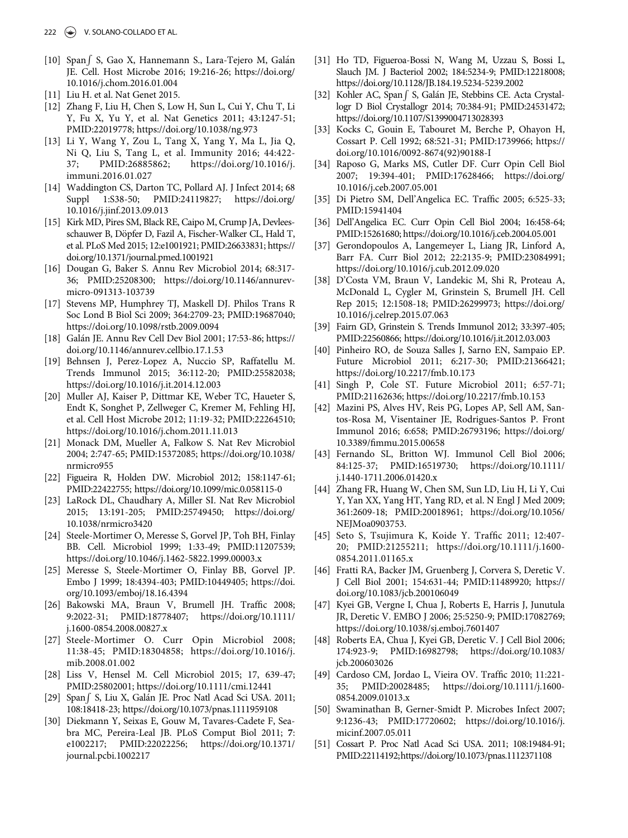- <span id="page-7-0"></span>[10] Span | S, Gao X, Hannemann S., Lara-Tejero M, Galán JE. Cell. Host Microbe 2016; 19:216-26; https://doi.org/ [10.1016/j.chom.2016.01.004](https://doi.org/10.1016/j.chom.2016.01.004)
- <span id="page-7-1"></span>[11] Liu H. et al. Nat Genet 2015.
- [12] Zhang F, Liu H, Chen S, Low H, Sun L, Cui Y, Chu T, Li Y, Fu X, Yu Y, et al. Nat Genetics 2011; 43:1247-51; PMID:[22019778; https://doi.org/10.1038/ng.973](https://doi.org/10.1038/ng.973)
- <span id="page-7-16"></span><span id="page-7-15"></span><span id="page-7-2"></span>[13] Li Y, Wang Y, Zou L, Tang X, Yang Y, Ma L, Jia Q, Ni Q, Liu S, Tang L, et al. Immunity 2016; 44:422- 37; PMID:[26885862; https://doi.org/10.1016/j.](https://doi.org/10.1016/j.immuni.2016.01.027) [immuni.2016.01.027](https://doi.org/10.1016/j.immuni.2016.01.027)
- <span id="page-7-17"></span><span id="page-7-3"></span>[14] Waddington CS, Darton TC, Pollard AJ. J Infect 2014; 68 Suppl 1:S38-50; PMID:[24119827; https://doi.org/](https://doi.org/24119827) [10.1016/j.jinf.2013.09.013](https://doi.org/10.1016/j.jinf.2013.09.013)
- <span id="page-7-18"></span>[15] Kirk MD, Pires SM, Black RE, Caipo M, Crump JA, Devleesschauwer B, Döpfer D, Fazil A, Fischer-Walker CL, Hald T, et al. PLoS Med 2015; 12:e1001921; PMID:[26633831; https://](https://doi.org/26633831) [doi.org/10.1371/journal.pmed.1001921](https://doi.org/10.1371/journal.pmed.1001921)
- <span id="page-7-19"></span><span id="page-7-11"></span>[16] Dougan G, Baker S. Annu Rev Microbiol 2014; 68:317- 36; PMID[:25208300; https://doi.org/10.1146/annurev](https://doi.org/10.1146/annurev-micro-091313-103739)[micro-091313-103739](https://doi.org/10.1146/annurev-micro-091313-103739)
- <span id="page-7-4"></span>[17] Stevens MP, Humphrey TJ, Maskell DJ. Philos Trans R Soc Lond B Biol Sci 2009; 364:2709-23; PMID:[19687040;](https://doi.org/19687040) <https://doi.org/10.1098/rstb.2009.0094>
- <span id="page-7-22"></span><span id="page-7-20"></span><span id="page-7-5"></span>[18] Galan JE. Annu Rev Cell Dev Biol 2001; 17:53-86; https:// doi.org/[10.1146/annurev.cellbio.17.1.53](https://doi.org/10.1146/annurev.cellbio.17.1.53)
- <span id="page-7-6"></span>[19] Behnsen J, Perez-Lopez A, Nuccio SP, Raffatellu M. Trends Immunol 2015; 36:112-20; PMID:[25582038;](https://doi.org/25582038) <https://doi.org/10.1016/j.it.2014.12.003>
- <span id="page-7-21"></span><span id="page-7-7"></span>[20] Muller AJ, Kaiser P, Dittmar KE, Weber TC, Haueter S, Endt K, Songhet P, Zellweger C, Kremer M, Fehling HJ, et al. Cell Host Microbe 2012; 11:19-32; PMID:[22264510;](https://doi.org/22264510) <https://doi.org/10.1016/j.chom.2011.11.013>
- <span id="page-7-8"></span>[21] Monack DM, Mueller A, Falkow S. Nat Rev Microbiol 2004; 2:747-65; PMID:[15372085; https://doi.org/10.1038/](https://doi.org/10.1038/nrmicro955) [nrmicro955](https://doi.org/10.1038/nrmicro955)
- <span id="page-7-9"></span>[22] Figueira R, Holden DW. Microbiol 2012; 158:1147-61; PMID:[22422755; https://doi.org/10.1099/mic.0.058115-0](https://doi.org/10.1099/mic.0.058115-0)
- <span id="page-7-10"></span>[23] LaRock DL, Chaudhary A, Miller SI. Nat Rev Microbiol 2015; 13:191-205; PMID[:25749450; https://doi.org/](https://doi.org/25749450) [10.1038/nrmicro3420](https://doi.org/10.1038/nrmicro3420)
- <span id="page-7-23"></span><span id="page-7-12"></span>[24] Steele-Mortimer O, Meresse S, Gorvel JP, Toh BH, Finlay BB. Cell. Microbiol 1999; 1:33-49; PMID:[11207539;](https://doi.org/11207539) <https://doi.org/10.1046/j.1462-5822.1999.00003.x>
- <span id="page-7-24"></span>[25] Meresse S, Steele-Mortimer O, Finlay BB, Gorvel JP. Embo J 1999; 18:4394-403; PMID:[10449405; https://doi.](https://doi.org/10449405) [org/10.1093/emboj/18.16.4394](https://doi.org/10.1093/emboj/18.16.4394)
- <span id="page-7-13"></span>[26] Bakowski MA, Braun V, Brumell JH. Traffic 2008; 9:2022-31; PMID:[18778407; https://doi.org/10.1111/](https://doi.org/10.1111/j.1600-0854.2008.00827.x) [j.1600-0854.2008.00827.x](https://doi.org/10.1111/j.1600-0854.2008.00827.x)
- [27] Steele-Mortimer O. Curr Opin Microbiol 2008; 11:38-45; PMID:[18304858; https://doi.org/10.1016/j.](https://doi.org/10.1016/j.mib.2008.01.002) [mib.2008.01.002](https://doi.org/10.1016/j.mib.2008.01.002)
- <span id="page-7-25"></span>[28] Liss V, Hensel M. Cell Microbiol 2015; 17, 639-47; PMID:[25802001; https://doi.org/10.1111/cmi.12441](https://doi.org/10.1111/cmi.12441)
- <span id="page-7-26"></span><span id="page-7-14"></span>[29] Span S, Liu X, Galán JE. Proc Natl Acad Sci USA. 2011; 108:18418-23; https://doi.org/[10.1073/pnas.1111959108](https://doi.org/10.1073/pnas.1111959108)
- <span id="page-7-27"></span>[30] Diekmann Y, Seixas E, Gouw M, Tavares-Cadete F, Seabra MC, Pereira-Leal JB. PLoS Comput Biol 2011; 7: e1002217; PMID:[22022256; https://doi.org/10.1371/](https://doi.org/10.1371/journal.pcbi.1002217) [journal.pcbi.1002217](https://doi.org/10.1371/journal.pcbi.1002217)
- [31] Ho TD, Figueroa-Bossi N, Wang M, Uzzau S, Bossi L, Slauch JM. J Bacteriol 2002; 184:5234-9; PMID:[12218008;](https://doi.org/12218008) <https://doi.org/10.1128/JB.184.19.5234-5239.2002>
- [32] Kohler AC, Span *[S, Galán JE, Stebbins CE. Acta Crystal*logr D Biol Crystallogr 2014; 70:384-91; PMID[:24531472;](https://doi.org/24531472) <https://doi.org/10.1107/S1399004713028393>
- [33] Kocks C, Gouin E, Tabouret M, Berche P, Ohayon H, Cossart P. Cell 1992; 68:521-31; PMID:[1739966; https://](https://doi.org/1739966) [doi.org/10.1016/0092-8674\(92\)90188-I](https://doi.org/10.1016/0092-8674(92)90188-I)
- [34] Raposo G, Marks MS, Cutler DF. Curr Opin Cell Biol 2007; 19:394-401; PMID:[17628466; https://doi.org/](https://doi.org/17628466) [10.1016/j.ceb.2007.05.001](https://doi.org/10.1016/j.ceb.2007.05.001)
- [35] Di Pietro SM, Dell'Angelica EC. Traffic 2005; 6:525-33; PMID:[15941404](https://doi.org/15941404)
- [36] Dell'Angelica EC. Curr Opin Cell Biol 2004; 16:458-64; PMID[:15261680; https://doi.org/10.1016/j.ceb.2004.05.001](https://doi.org/10.1016/j.ceb.2004.05.001)
- [37] Gerondopoulos A, Langemeyer L, Liang JR, Linford A, Barr FA. Curr Biol 2012; 22:2135-9; PMID:[23084991;](https://doi.org/23084991) <https://doi.org/10.1016/j.cub.2012.09.020>
- [38] D'Costa VM, Braun V, Landekic M, Shi R, Proteau A, McDonald L, Cygler M, Grinstein S, Brumell JH. Cell Rep 2015; 12:1508-18; PMID:[26299973; https://doi.org/](https://doi.org/26299973) [10.1016/j.celrep.2015.07.063](https://doi.org/10.1016/j.celrep.2015.07.063)
- [39] Fairn GD, Grinstein S. Trends Immunol 2012; 33:397-405; PMID[:22560866; https://doi.org/10.1016/j.it.2012.03.003](https://doi.org/10.1016/j.it.2012.03.003)
- [40] Pinheiro RO, de Souza Salles J, Sarno EN, Sampaio EP. Future Microbiol 2011; 6:217-30; PMID:[21366421;](https://doi.org/21366421) <https://doi.org/10.2217/fmb.10.173>
- [41] Singh P, Cole ST. Future Microbiol 2011; 6:57-71; PMID:[21162636; https://doi.org/10.2217/fmb.10.153](https://doi.org/10.2217/fmb.10.153)
- [42] Mazini PS, Alves HV, Reis PG, Lopes AP, Sell AM, Santos-Rosa M, Visentainer JE, Rodrigues-Santos P. Front Immunol 2016; 6:658; PMID:[26793196; https://doi.org/](https://doi.org/26793196) 10.3389/fi[mmu.2015.00658](https://doi.org/10.3389/fimmu.2015.00658)
- [43] Fernando SL, Britton WJ. Immunol Cell Biol 2006; 84:125-37; PMID:[16519730; https://doi.org/10.1111/](https://doi.org/10.1111/j.1440-1711.2006.01420.x) [j.1440-1711.2006.01420.x](https://doi.org/10.1111/j.1440-1711.2006.01420.x)
- [44] Zhang FR, Huang W, Chen SM, Sun LD, Liu H, Li Y, Cui Y, Yan XX, Yang HT, Yang RD, et al. N Engl J Med 2009; 361:2609-18; PMID[:20018961; https://doi.org/10.1056/](https://doi.org/10.1056/NEJMoa0903753.) [NEJMoa0903753.](https://doi.org/10.1056/NEJMoa0903753.)
- [45] Seto S, Tsujimura K, Koide Y. Traffic 2011; 12:407- 20; PMID:[21255211; https://doi.org/10.1111/j.1600-](https://doi.org/10.1111/j.1600-0854.2011.01165.x) [0854.2011.01165.x](https://doi.org/10.1111/j.1600-0854.2011.01165.x)
- [46] Fratti RA, Backer JM, Gruenberg J, Corvera S, Deretic V. J Cell Biol 2001; 154:631-44; PMID:[11489920; https://](https://doi.org/11489920) [doi.org/10.1083/jcb.200106049](https://doi.org/10.1083/jcb.200106049)
- [47] Kyei GB, Vergne I, Chua J, Roberts E, Harris J, Junutula JR, Deretic V. EMBO J 2006; 25:5250-9; PMID:[17082769;](https://doi.org/17082769) <https://doi.org/10.1038/sj.emboj.7601407>
- [48] Roberts EA, Chua J, Kyei GB, Deretic V. J Cell Biol 2006; 174:923-9; PMID:[16982798; https://doi.org/10.1083/](https://doi.org/10.1083/jcb.200603026) [jcb.200603026](https://doi.org/10.1083/jcb.200603026)
- [49] Cardoso CM, Jordao L, Vieira OV. Traffic 2010; 11:221- 35; PMID:[20028485; https://doi.org/10.1111/j.1600-](https://doi.org/10.1111/j.1600-0854.2009.01013.x) [0854.2009.01013.x](https://doi.org/10.1111/j.1600-0854.2009.01013.x)
- [50] Swaminathan B, Gerner-Smidt P. Microbes Infect 2007; 9:1236-43; PMID:[17720602; https://doi.org/10.1016/j.](https://doi.org/10.1016/j.micinf.2007.05.011) [micinf.2007.05.011](https://doi.org/10.1016/j.micinf.2007.05.011)
- [51] Cossart P. Proc Natl Acad Sci USA. 2011; 108:19484-91; PMID[:22114192;https://doi.org/10.1073/pnas.1112371108](https://doi.org/10.1073/pnas.1112371108)